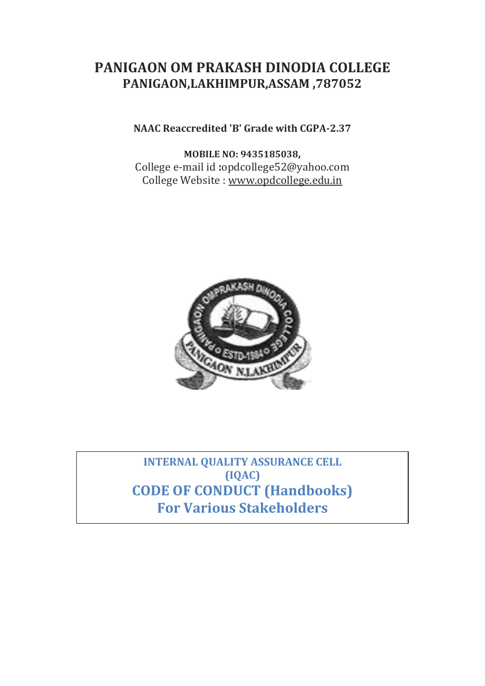# **PANIGAON OM PRAKASH DINODIA COLLEGE PANIGAON,LAKHIMPUR,ASSAM ,787052**

# **NAAC Reaccredited 'B' Grade with CGPA-2.37**

**MOBILE NO: 9435185038,** College e-mail id **:**opdcollege52@yahoo.com College Website : [www.opdcollege.edu.in](http://www.opdcollege.edu.in/)



**INTERNAL QUALITY ASSURANCE CELL (IQAC) CODE OF CONDUCT (Handbooks) For Various Stakeholders**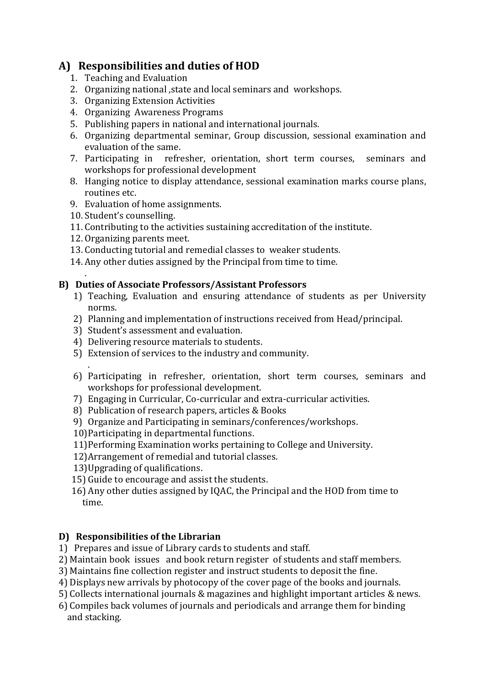# **A) Responsibilities and duties of HOD**

- 1. Teaching and Evaluation
- 2. Organizing national ,state and local seminars and workshops.
- 3. Organizing Extension Activities
- 4. Organizing Awareness Programs
- 5. Publishing papers in national and international journals.
- 6. Organizing departmental seminar, Group discussion, sessional examination and evaluation of the same.
- 7. Participating in refresher, orientation, short term courses, seminars and workshops for professional development
- 8. Hanging notice to display attendance, sessional examination marks course plans, routines etc.
- 9. Evaluation of home assignments.
- 10. Student's counselling.

.

- 11. Contributing to the activities sustaining accreditation of the institute.
- 12. Organizing parents meet.
- 13. Conducting tutorial and remedial classes to weaker students.
- 14. Any other duties assigned by the Principal from time to time.

#### **B) Duties of Associate Professors/Assistant Professors**

- 1) Teaching, Evaluation and ensuring attendance of students as per University norms.
- 2) Planning and implementation of instructions received from Head/principal.
- 3) Student's assessment and evaluation.
- 4) Delivering resource materials to students.
- 5) Extension of services to the industry and community.
- . 6) Participating in refresher, orientation, short term courses, seminars and workshops for professional development.
- 7) Engaging in Curricular, Co-curricular and extra-curricular activities.
- 8) Publication of research papers, articles & Books
- 9) Organize and Participating in seminars/conferences/workshops.
- 10)Participating in departmental functions.
- 11)Performing Examination works pertaining to College and University.
- 12)Arrangement of remedial and tutorial classes.
- 13)Upgrading of qualifications.
- 15) Guide to encourage and assist the students.
- 16) Any other duties assigned by IQAC, the Principal and the HOD from time to time.

# **D) Responsibilities of the Librarian**

- 1) Prepares and issue of Library cards to students and staff.
- 2) Maintain book issues and book return register of students and staff members.
- 3) Maintains fine collection register and instruct students to deposit the fine.
- 4) Displays new arrivals by photocopy of the cover page of the books and journals.
- 5) Collects international journals & magazines and highlight important articles & news.
- 6) Compiles back volumes of journals and periodicals and arrange them for binding and stacking.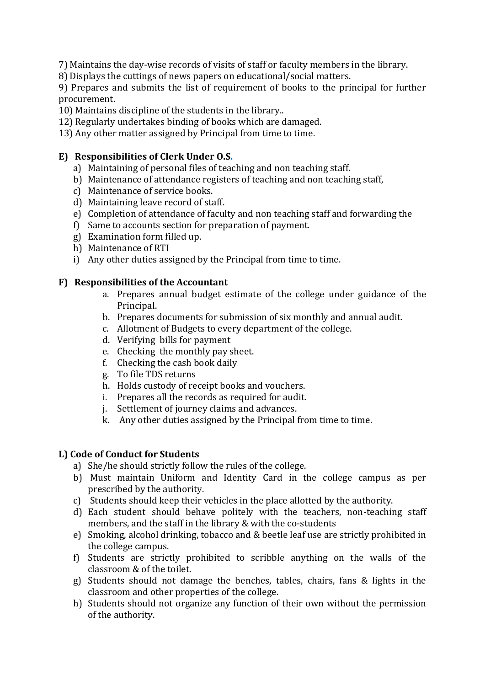7) Maintains the day-wise records of visits of staff or faculty members in the library.

8) Displays the cuttings of news papers on educational/social matters.

9) Prepares and submits the list of requirement of books to the principal for further procurement.

- 10) Maintains discipline of the students in the library..
- 12) Regularly undertakes binding of books which are damaged.
- 13) Any other matter assigned by Principal from time to time.

### **E) Responsibilities of Clerk Under O.S.**

- a) Maintaining of personal files of teaching and non teaching staff.
- b) Maintenance of attendance registers of teaching and non teaching staff,
- c) Maintenance of service books.
- d) Maintaining leave record of staff.
- e) Completion of attendance of faculty and non teaching staff and forwarding the
- f) Same to accounts section for preparation of payment.
- g) Examination form filled up.
- h) Maintenance of RTI
- i) Any other duties assigned by the Principal from time to time.

#### **F) Responsibilities of the Accountant**

- a. Prepares annual budget estimate of the college under guidance of the Principal.
- b. Prepares documents for submission of six monthly and annual audit.
- c. Allotment of Budgets to every department of the college.
- d. Verifying bills for payment
- e. Checking the monthly pay sheet.
- f. Checking the cash book daily
- g. To file TDS returns
- h. Holds custody of receipt books and vouchers.
- i. Prepares all the records as required for audit.
- j. Settlement of journey claims and advances.
- k. Any other duties assigned by the Principal from time to time.

#### **L) Code of Conduct for Students**

- a) She/he should strictly follow the rules of the college.
- b) Must maintain Uniform and Identity Card in the college campus as per prescribed by the authority.
- c) Students should keep their vehicles in the place allotted by the authority.
- d) Each student should behave politely with the teachers, non-teaching staff members, and the staff in the library & with the co-students
- e) Smoking, alcohol drinking, tobacco and & beetle leaf use are strictly prohibited in the college campus.
- f) Students are strictly prohibited to scribble anything on the walls of the classroom & of the toilet.
- g) Students should not damage the benches, tables, chairs, fans & lights in the classroom and other properties of the college.
- h) Students should not organize any function of their own without the permission of the authority.